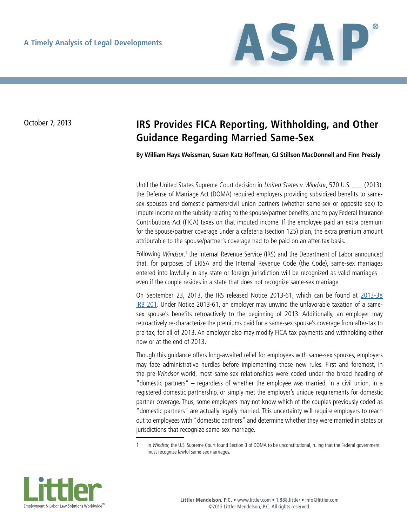

# October 7, 2013 **IRS Provides FICA Reporting, Withholding, and Other Guidance Regarding Married Same-Sex**

**By William Hays Weissman, Susan Katz Hoffman, GJ Stillson MacDonnell and Finn Pressly**

Until the United States Supreme Court decision in United States v. Windsor, 570 U.S. (2013), the Defense of Marriage Act (DOMA) required employers providing subsidized benefits to samesex spouses and domestic partners/civil union partners (whether same-sex or opposite sex) to impute income on the subsidy relating to the spouse/partner benefits, and to pay Federal Insurance Contributions Act (FICA) taxes on that imputed income. If the employee paid an extra premium for the spouse/partner coverage under a cafeteria (section 125) plan, the extra premium amount attributable to the spouse/partner's coverage had to be paid on an after-tax basis.

Following Windsor,<sup>1</sup> the Internal Revenue Service (IRS) and the Department of Labor announced that, for purposes of ERISA and the Internal Revenue Code (the Code), same-sex marriages entered into lawfully in any state or foreign jurisdiction will be recognized as valid marriages even if the couple resides in a state that does not recognize same-sex marriage.

On September 23, 2013, the IRS released Notice 2013-61, which can be found at [2013-38](http://www.irs.gov/pub/irs-drop/n-13-61.pdf) [IRB 201](http://www.irs.gov/pub/irs-drop/n-13-61.pdf). Under Notice 2013-61, an employer may unwind the unfavorable taxation of a samesex spouse's benefits retroactively to the beginning of 2013. Additionally, an employer may retroactively re-characterize the premiums paid for a same-sex spouse's coverage from after-tax to pre-tax, for all of 2013. An employer also may modify FICA tax payments and withholding either now or at the end of 2013.

Though this guidance offers long-awaited relief for employees with same-sex spouses, employers may face administrative hurdles before implementing these new rules. First and foremost, in the pre-Windsor world, most same-sex relationships were coded under the broad heading of "domestic partners" – regardless of whether the employee was married, in a civil union, in a registered domestic partnership, or simply met the employer's unique requirements for domestic partner coverage. Thus, some employers may not know which of the couples previously coded as "domestic partners" are actually legally married. This uncertainty will require employers to reach out to employees with "domestic partners" and determine whether they were married in states or jurisdictions that recognize same-sex marriage.



<sup>1</sup> In Windsor, the U.S. Supreme Court found Section 3 of DOMA to be unconstitutional, ruling that the Federal government must recognize lawful same-sex marriages.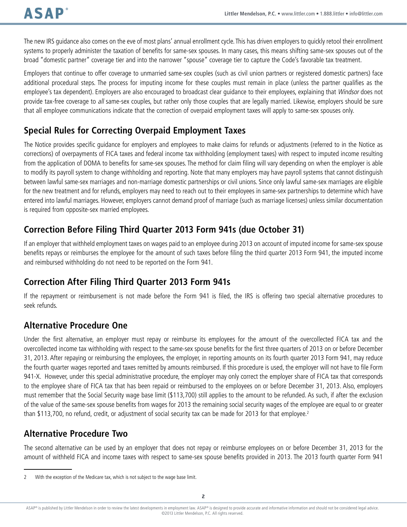The new IRS guidance also comes on the eve of most plans' annual enrollment cycle. This has driven employers to quickly retool their enrollment systems to properly administer the taxation of benefits for same-sex spouses. In many cases, this means shifting same-sex spouses out of the broad "domestic partner" coverage tier and into the narrower "spouse" coverage tier to capture the Code's favorable tax treatment.

Employers that continue to offer coverage to unmarried same-sex couples (such as civil union partners or registered domestic partners) face additional procedural steps. The process for imputing income for these couples must remain in place (unless the partner qualifies as the employee's tax dependent). Employers are also encouraged to broadcast clear guidance to their employees, explaining that Windsor does not provide tax-free coverage to all same-sex couples, but rather only those couples that are legally married. Likewise, employers should be sure that all employee communications indicate that the correction of overpaid employment taxes will apply to same-sex spouses only.

# **Special Rules for Correcting Overpaid Employment Taxes**

The Notice provides specific guidance for employers and employees to make claims for refunds or adjustments (referred to in the Notice as corrections) of overpayments of FICA taxes and federal income tax withholding (employment taxes) with respect to imputed income resulting from the application of DOMA to benefits for same-sex spouses. The method for claim filing will vary depending on when the employer is able to modify its payroll system to change withholding and reporting. Note that many employers may have payroll systems that cannot distinguish between lawful same-sex marriages and non-marriage domestic partnerships or civil unions. Since only lawful same-sex marriages are eligible for the new treatment and for refunds, employers may need to reach out to their employees in same-sex partnerships to determine which have entered into lawful marriages. However, employers cannot demand proof of marriage (such as marriage licenses) unless similar documentation is required from opposite-sex married employees.

# **Correction Before Filing Third Quarter 2013 Form 941s (due October 31)**

If an employer that withheld employment taxes on wages paid to an employee during 2013 on account of imputed income for same-sex spouse benefits repays or reimburses the employee for the amount of such taxes before filing the third quarter 2013 Form 941, the imputed income and reimbursed withholding do not need to be reported on the Form 941.

## **Correction After Filing Third Quarter 2013 Form 941s**

If the repayment or reimbursement is not made before the Form 941 is filed, the IRS is offering two special alternative procedures to seek refunds.

## **Alternative Procedure One**

Under the first alternative, an employer must repay or reimburse its employees for the amount of the overcollected FICA tax and the overcollected income tax withholding with respect to the same-sex spouse benefits for the first three quarters of 2013 on or before December 31, 2013. After repaying or reimbursing the employees, the employer, in reporting amounts on its fourth quarter 2013 Form 941, may reduce the fourth quarter wages reported and taxes remitted by amounts reimbursed. If this procedure is used, the employer will not have to file Form 941-X. However, under this special administrative procedure, the employer may only correct the employer share of FICA tax that corresponds to the employee share of FICA tax that has been repaid or reimbursed to the employees on or before December 31, 2013. Also, employers must remember that the Social Security wage base limit (\$113,700) still applies to the amount to be refunded. As such, if after the exclusion of the value of the same-sex spouse benefits from wages for 2013 the remaining social security wages of the employee are equal to or greater than \$113,700, no refund, credit, or adjustment of social security tax can be made for 2013 for that employee.<sup>2</sup>

#### **Alternative Procedure Two**

The second alternative can be used by an employer that does not repay or reimburse employees on or before December 31, 2013 for the amount of withheld FICA and income taxes with respect to same-sex spouse benefits provided in 2013. The 2013 fourth quarter Form 941

<sup>2</sup> With the exception of the Medicare tax, which is not subject to the wage base limit.